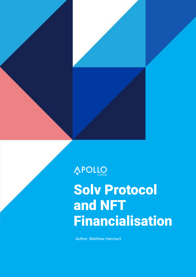

APOLLO

# Solv Protocol and NFT Financialisation

Author: Matthew Harcourt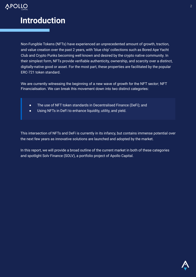

# **Introduction**

Non-Fungible Tokens (NFTs) have experienced an unprecedented amount of growth, traction, and value creation over the past 2 years, with 'blue chip' collections such as Bored Ape Yacht Club and Crypto Punks becoming well known and desired by the crypto native community. In their simplest form, NFTs provide verifiable authenticity, ownership, and scarcity over a distinct, digitally-native good or asset. For the most part, these properties are facilitated by the popular ERC-721 token standard.

We are currently witnessing the beginning of a new wave of growth for the NFT sector; NFT Financialisation. We can break this movement down into two distinct categories:

- The use of NFT token standards in Decentralised Finance (DeFi); and
- Using NFTs in DeFi to enhance liquidity, utility, and yield.

This intersection of NFTs and DeFi is currently in its infancy, but contains immense potential over the next few years as innovative solutions are launched and adopted by the market.

In this report, we will provide a broad outline of the current market in both of these categories and spotlight Solv Finance (SOLV), a portfolio project of Apollo Capital.

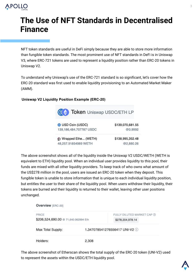

# **The Use of NFT Standards in Decentralised Finance**

NFT token standards are useful in DeFi simply because they are able to store more information than fungible token standards. The most prominent use of NFT standards in DeFi is in Uniswap V3, where ERC-721 tokens are used to represent a liquidity position rather than ERC-20 tokens in Uniswap V2.

To understand why Uniswap's use of the ERC-721 standard is so significant, let's cover how the ERC-20 standard was first used to enable liquidity provisioning to an Automated Market Maker (AMM).

#### **Uniswap V2 Liquidity Position Example (ERC-20)**



The above screenshot shows all of the liquidity inside the Uniswap V2 USDC/WETH (WETH is equivalent to ETH) liquidity pool. When an individual user provides liquidity to this pool, their funds are mixed with all other liquidity providers. To keep track of who owns what amount of the US\$278 million in the pool, users are issued an ERC-20 token when they deposit. This fungible token is unable to store information that is unique to each individual liquidity position, but entitles the user to their share of the liquidity pool. When users withdraw their liquidity, their tokens are burned and their liquidity is returned to their wallet, leaving other user positions unchanged.



The above screenshot of Etherscan shows the total supply of the ERC-20 token (UNI-V2) used to represent the assets within the USDC/ETH liquidity pool.

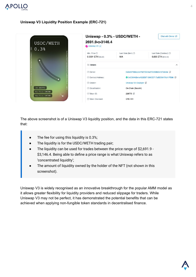

#### **Uniswap V3 Liquidity Position Example (ERC-721)**



The above screenshot is of a Uniswap V3 liquidity position, and the data in this ERC-721 states that:

- The fee for using this liquidity is 0.3%;
- The liquidity is for the USDC/WETH trading pair;
- The liquidity can be used for trades between the price range of \$2,691.9 -\$3,146.4. Being able to define a price range is what Uniswap refers to as 'concentrated liquidity';
- The amount of liquidity owned by the holder of the NFT (not shown in this screenshot).

Uniswap V3 is widely recognised as an innovative breakthrough for the popular AMM model as it allows greater flexibility for liquidity providers and reduced slippage for traders. While Uniswap V3 may not be perfect, it has demonstrated the potential benefits that can be achieved when applying non-fungible token standards in decentralised finance.

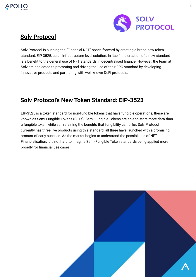



### **[Solv Protocol](https://solv.finance/home)**

Solv Protocol is pushing the "Financial NFT" space forward by creating a brand-new token standard, EIP-3525, as an infrastructure-level solution. In itself, the creation of a new standard is a benefit to the general use of NFT standards in decentralised finance. However, the team at Solv are dedicated to promoting and driving the use of their ERC standard by developing innovative products and partnering with well known DeFi protocols.

### **Solv Protocol's New Token Standard: EIP-3523**

EIP-3525 is a token standard for non-fungible tokens that have fungible operations, these are known as Semi-Fungible Tokens (SFTs). Semi-Fungible Tokens are able to store more data than a fungible token while still retaining the benefits that fungibility can offer. Solv Protocol currently has three live products using this standard, all three have launched with a promising amount of early success. As the market begins to understand the possibilities of NFT Financialisation, it is not hard to imagine Semi-Fungible Token standards being applied more broadly for financial use cases.

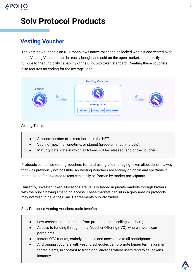

# **Solv Protocol Products**

### **Vesting Voucher**

The Vesting Voucher is an NFT that allows native tokens to be locked within it and vested over time. Vesting Vouchers can be easily bought and sold on the open market, either partly or in full due to the fungibility capability of the EIP-3525 token standard. Creating these vouchers also requires no coding for the average user.



#### Vesting Terms

- Amount: number of tokens locked in the NFT.
- Vesting type: liner, one-time, or staged (predetermined intervals).
- Maturity date: date in which all tokens will be released (end of the voucher).

Protocols can utilise vesting vouchers for fundraising and managing token allocations in a way that was previously not possible. As Vesting Vouchers are entirely on-chain and splittable, a marketplace for unvested tokens can easily be formed by market participants.

Currently, unvested token allocations are usually traded in private markets through brokers with the public having little to no access. These markets can sit in a grey area as protocols may not wish to have their SAFT agreements publicly traded.

Solv Protocol's Vesting Vouchers main benefits:

- Low technical requirements from protocol teams selling vouchers;
- Access to funding through Initial Voucher Offering (IVO), where anyone can participate;
- Instant OTC market, entirely on-chain and accessible to all participants;
- Airdropping vouchers with vesting schedules can promote longer term alignment for recipients, in contrast to traditional airdrops where users tend to sell tokens instantly.

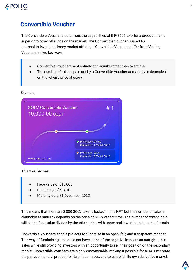

### **Convertible Voucher**

The Convertible Voucher also utilises the capabilities of EIP-3525 to offer a product that is superior to other offerings on the market. The Convertible Voucher is used for protocol-to-investor primary market offerings. Convertible Vouchers differ from Vesting Vouchers in two key ways:

- Convertible Vouchers vest entirely at maturity, rather than over time;
- The number of tokens paid out by a Convertible Voucher at maturity is dependent on the token's price at expiry.



#### Example:

This voucher has:

- Face value of \$10,000.
- Bond range: \$5 \$10.
- Maturity date 31 December 2022.

This means that there are 2,000 SOLV tokens locked in this NFT, but the number of tokens claimable at maturity depends on the price of SOLV at that time. The number of tokens paid will be the face value divided by the token price, with upper and lower bounds to this formula.

Convertible Vouchers enable projects to fundraise in an open, fair, and transparent manner. This way of fundraising also does not have some of the negative impacts as outright token sales while still providing investors with an opportunity to sell their position on the secondary market. Convertible Vouchers are highly customisable, making it possible for a DAO to create the perfect financial product for its unique needs, and to establish its own derivative market.

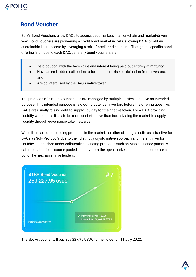

### **Bond Voucher**

Solv's Bond Vouchers allow DAOs to access debt markets in an on-chain and market-driven way. Bond vouchers are pioneering a credit bond market in DeFi, allowing DAOs to obtain sustainable liquid assets by leveraging a mix of credit and collateral. Though the specific bond offering is unique to each DAO, generally bond vouchers are:

- Zero-coupon, with the face value and interest being paid out entirely at maturity;
- Have an embedded call option to further incentivise participation from investors; and
- Are collateralised by the DAO's native token.

The proceeds of a Bond Voucher sale are managed by multiple parties and have an intended purpose. This intended purpose is laid out to potential investors before the offering goes live; DAOs are usually raising debt to supply liquidity for their native token. For a DAO, providing liquidity with debt is likely to be more cost effective than incentivising the market to supply liquidity through governance token rewards.

While there are other lending protocols in the market, no other offering is quite as attractive for DAOs as Solv Protocol's due to their distinctly crypto native approach and instant investor liquidity. Established under collateralised lending protocols such as Maple Finance primarily cater to institutions, source pooled liquidity from the open market, and do not incorporate a bond-like mechanism for lenders.



The above voucher will pay 259,227.95 USDC to the holder on 11 July 2022.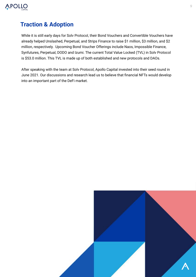

### **Traction & Adoption**

While it is still early days for Solv Protocol, their Bond Vouchers and Convertible Vouchers have already helped Unslashed, Perpetual, and Strips Finance to raise \$1 million, \$3 million, and \$2 million, respectively. Upcoming Bond Voucher Offerings include Naos, Impossible Finance, Synfutures, Perpetual, DODO and Izumi. The current Total Value Locked (TVL) in Solv Protocol is \$53.0 million. This TVL is made up of both established and new protocols and DAOs.

After speaking with the team at Solv Protocol, Apollo Capital invested into their seed round in June 2021. Our discussions and research lead us to believe that financial NFTs would develop into an important part of the DeFi market.

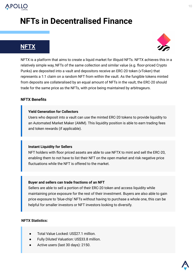

# **NFTs in Decentralised Finance**

### **[NFTX](https://nftx.io/)**



NFTX is a platform that aims to create a liquid market for illiquid NFTs. NFTX achieves this in a relatively simple way, NFTs of the same collection and similar value (e.g. floor-priced Crypto Punks) are deposited into a vault and depositors receive an ERC-20 token (vToken) that represents a 1:1 claim on a random NFT from within the vault. As the fungible tokens minted from deposits are collateralised by an equal amount of NFTs in the vault, the ERC-20 should trade for the same price as the NFTs, with price being maintained by arbitrageurs.

#### **NFTX Benefits**

#### **Yield Generation for Collectors**

Users who deposit into a vault can use the minted ERC-20 tokens to provide liquidity to an Automated Market Maker (AMM). This liquidity position is able to earn trading fees and token rewards (if applicable).

#### **Instant Liquidity for Sellers**

NFT holders with floor priced assets are able to use NFTX to mint and sell the ERC-20, enabling them to not have to list their NFT on the open market and risk negative price fluctuations while the NFT is offered to the market.

#### **Buyer and sellers can trade fractions of an NFT**

Sellers are able to sell a portion of their ERC-20 token and access liquidity while maintaining price exposure for the rest of their investment. Buyers are also able to gain price exposure to 'blue-chip' NFTs without having to purchase a whole one, this can be helpful for smaller investors or NFT investors looking to diversify.

#### **NFTX Statistics:**

- Total Value Locked: US\$27.1 million.
- Fully Diluted Valuation: US\$33.8 million.
- Active users (last 30 days): 2150.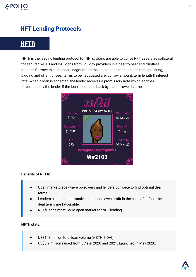

### **NFT Lending Protocols**

### **[NFTfi](https://www.nftfi.com/)**

NFTfi is the leading lending protocol for NFTs. Users are able to utilise NFT assets as collateral for secured wETH and DAI loans from liquidity providers in a peer-to-peer and trustless manner. Borrowers and lenders negotiate terms on the open marketplace through listing, bidding and offering. Deal terms to be negotiated are; borrow amount, term length & interest rate. When a loan is accepted, the lender receives a promissory note which enables foreclosure by the lender if the loan is not paid back by the borrower in time.



#### **Benefits of NFTfi:**

- Open marketplace where borrowers and lenders compete to find optimal deal terms.
- Lenders can earn at attractives rates and even profit in the case of default the deal terms are favourable.
- NFTfi is the most liquid open market for NFT lending.

#### **NFTfi stats:**

- US\$148 million total loan volume (wETH & DAI).
- US\$5.9 million raised from VC's in 2020 and 2021. Launched in May 2020.

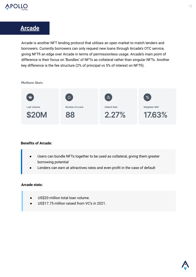

### **[Arcade](https://www.arcade.xyz/)**

Arcade is another NFT lending protocol that utilises an open market to match lenders and borrowers. Currently borrowers can only request new loans through Arcade's OTC service, giving NFTfi an edge over Arcade in terms of permissionless usage. Arcade's main point of difference is their focus on 'Bundles' of NFTs as collateral rather than singular NFTs. Another key difference is the fee structure (2% of principal vs 5% of interest on NFTfi).

**Platform Stats** 



#### **Benefits of Arcade:**

- Users can bundle NFTs together to be used as collateral, giving them greater borrowing potential
- Lenders can earn at attractives rates and even profit in the case of default

#### **Arcade stats:**

- US\$20 million total loan volume.
- US\$17.75 million raised from VC's in 2021.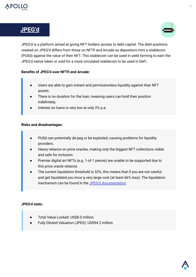

### **[JPEG'd](https://jpegd.io/)**



JPEG'd is a platform aimed at giving NFT holders access to debt capital. The debt positions created on JPEG'd differs from those on NFTfi and Arcade as depositors mint a stablecoin (PUSd) against the value of their NFT. This stablecoin can be used in yield farming to earn the JPEG'd native token or sold for a more circulated stablecoin to be used in DeFi.

#### **Benefits of JPEG'd over NFTfi and Arcade:**

- Users are able to gain instant and permissionless liquidity against their NFT assets.
- There is no duration for the loan, meaning users can hold their position indefinitely.
- Interest on loans is very low at only 2% p.a.

#### **Risks and disadvantages:**

- PUSd can potentially de-peg or be exploited, causing problems for liquidity providers.
- Heavy reliance on price oracles, making only the biggest NFT collections viable and safe for inclusion.
- Premier digital art NFTs (e.g. 1-of-1 pieces) are unable to be supported due to this price oracle reliance.
- The current liquidation threshold is 33%, this means that if you are not careful and get liquidated you incur a very large cost (at least 66% loss). The liquidation mechanism can be found in the [JPEG'd documentation](https://docs.jpegd.io/)

#### **JPEG'd stats:**

- Total Value Locked: US\$8.0 million.
- Fully Diluted Valuation (JPEG): US\$94.2 million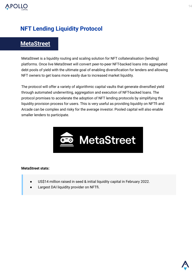

### **NFT Lending Liquidity Protocol**

### **[MetaStreet](https://metastreet.xyz/)**

MetaStreet is a liquidity routing and scaling solution for NFT collateralisation (lending) platforms. Once live MetaStreet will convert peer-to-peer NFT-backed loans into aggregated debt pools of yield with the ultimate goal of enabling diversification for lenders and allowing NFT owners to get loans more easily due to increased market liquidity.

The protocol will offer a variety of algorithmic capital vaults that generate diversified yield through automated underwriting, aggregation and execution of NFT-backed loans. The protocol promises to accelerate the adoption of NFT lending protocols by simplifying the liquidity provision process for users. This is very useful as providing liquidity on NFTfi and Arcade can be complex and risky for the average investor. Pooled capital will also enable smaller lenders to participate.



#### **MetaStreet stats:**

- US\$14 million raised in seed & initial liquidity capital in February 2022.
- Largest DAI liquidity provider on NFTfi.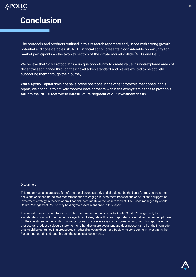

## **Conclusion**

The protocols and products outlined in this research report are early stage with strong growth potential and considerable risk. NFT Financialisation presents a considerable opportunity for market participants as the two key sectors of the crypto market collide (NFTs and DeFi).

We believe that Solv Protocol has a unique opportunity to create value in underexplored areas of decentralised finance through their novel token standard and we are excited to be actively supporting them through their journey.

While Apollo Capital does not have active positions in the other protocols mentioned in this report, we continue to actively monitor developments within the ecosystem as these protocols fall into the 'NFT & Metaverse Infrastructure' segment of our investment thesis.

#### **Disclaimers**

This report has been prepared for informational purposes only and should not be the basis for making investment decisions or be construed as a recommendation to engage in investment transactions or be taken to suggest an investment strategy in respect of any financial instruments or the issuers thereof. The Funds managed by Apollo Capital Management Pty Ltd may hold crypto assets mentioned in this report.

This report does not constitute an invitation, recommendation or offer by Apollo Capital Management, its shareholders or any of their respective agents, affiliates, related bodies corporate, officers, directors and employees for the investment in the Funds. This report does not advertise any such information or offer. This report is not a prospectus, product disclosure statement or other disclosure document and does not contain all of the information that would be contained in a prospectus or other disclosure document. Recipients considering in investing in the Funds must obtain and read through the respective documents.